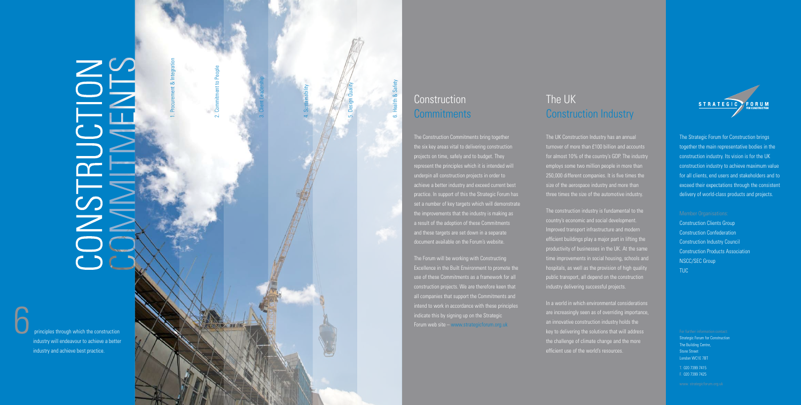The Strategic Forum for Construction brings together the main representative bodies in the construction industry. Its vision is for the UK construction industry to achieve maximum value for all clients, end users and stakeholders and to exceed their expectations through the consistent delivery of world-class products and projects.

Construction Clients Group Construction Confederation Construction Industry Council Construction Products Association NSCC/SEC Group TUC



## **Construction Commitments**

Strategic Forum for Construction The Building Centre, Store Street London WC1E 7BT T. 020 7399 7415 F. 020 7399 7425

The Construction Commitments bring together the six key areas vital to delivering construction projects on time, safely and to budget. They represent the principles which it is intended will underpin all construction projects in order to achieve a better industry and exceed current best practice. In support of this the Strategic Forum has set a number of key targets which will demonstrate the improvements that the industry is making as a result of the adoption of these Commitments and these targets are set down in a separate document available on the Forum's website.

The Forum will be working with Constructing Excellence in the Built Environment to promote the use of these Commitments as a framework for all construction projects. We are therefore keen that all companies that support the Commitments and intend to work in accordance with these principles indicate this by signing up on the Strategic Forum web site – www.strategicforum.org.uk

The UK Construction Industry has an annual turnover of more than £100 billion and accounts for almost 10% of the country's GDP. The industry employs some two million people in more than 250,000 different companies. It is five times the size of the aerospace industry and more than three times the size of the automotive industry.

The construction industry is fundamental to the country's economic and social development. Improved transport infrastructure and modern efficient buildings play a major part in lifting the productivity of businesses in the UK. At the same time improvements in social housing, schools and hospitals, as well as the provision of high quality public transport, all depend on the construction industry delivering successful projects.

In a world in which environmental considerations are increasingly seen as of overriding importance, an innovative construction industry holds the key to delivering the solutions that will address the challenge of climate change and the more efficient use of the world's resources.



## The UK Construction Industry